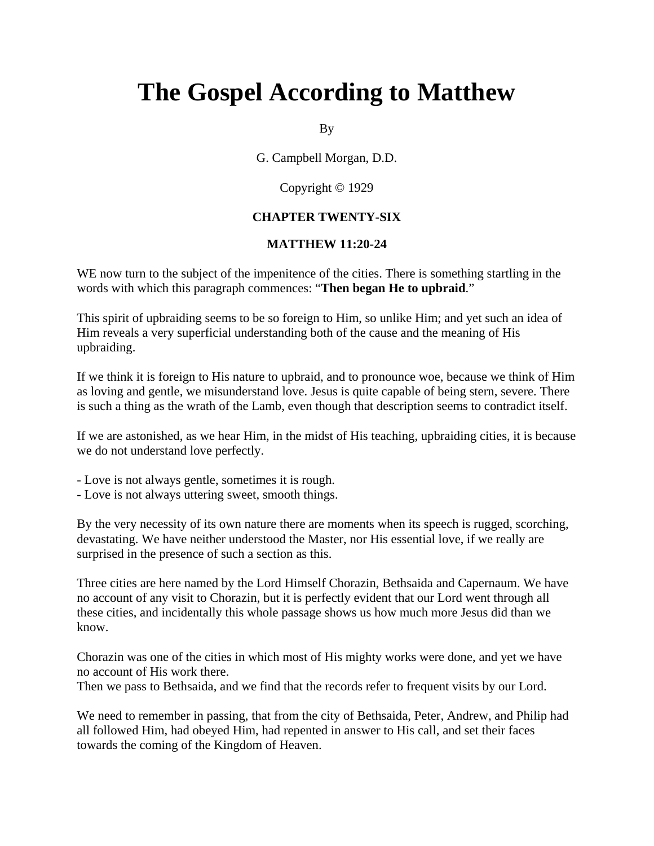# **The Gospel According to Matthew**

By

G. Campbell Morgan, D.D.

Copyright © 1929

#### **CHAPTER TWENTY-SIX**

#### **MATTHEW 11:20-24**

WE now turn to the subject of the impenitence of the cities. There is something startling in the words with which this paragraph commences: "**Then began He to upbraid**."

This spirit of upbraiding seems to be so foreign to Him, so unlike Him; and yet such an idea of Him reveals a very superficial understanding both of the cause and the meaning of His upbraiding.

If we think it is foreign to His nature to upbraid, and to pronounce woe, because we think of Him as loving and gentle, we misunderstand love. Jesus is quite capable of being stern, severe. There is such a thing as the wrath of the Lamb, even though that description seems to contradict itself.

If we are astonished, as we hear Him, in the midst of His teaching, upbraiding cities, it is because we do not understand love perfectly.

- Love is not always gentle, sometimes it is rough.
- Love is not always uttering sweet, smooth things.

By the very necessity of its own nature there are moments when its speech is rugged, scorching, devastating. We have neither understood the Master, nor His essential love, if we really are surprised in the presence of such a section as this.

Three cities are here named by the Lord Himself Chorazin, Bethsaida and Capernaum. We have no account of any visit to Chorazin, but it is perfectly evident that our Lord went through all these cities, and incidentally this whole passage shows us how much more Jesus did than we know.

Chorazin was one of the cities in which most of His mighty works were done, and yet we have no account of His work there.

Then we pass to Bethsaida, and we find that the records refer to frequent visits by our Lord.

We need to remember in passing, that from the city of Bethsaida, Peter, Andrew, and Philip had all followed Him, had obeyed Him, had repented in answer to His call, and set their faces towards the coming of the Kingdom of Heaven.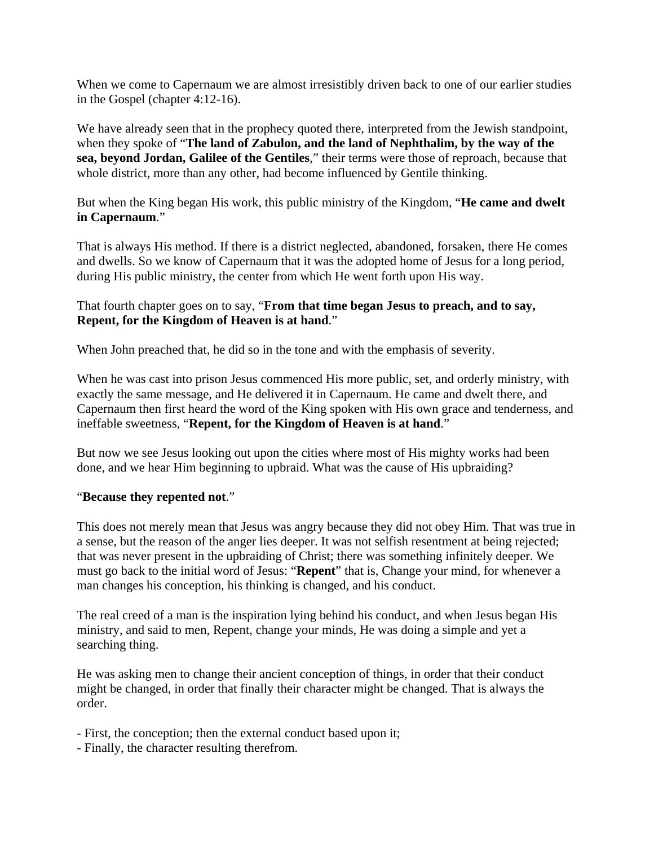When we come to Capernaum we are almost irresistibly driven back to one of our earlier studies in the Gospel (chapter 4:12-16).

We have already seen that in the prophecy quoted there, interpreted from the Jewish standpoint, when they spoke of "**The land of Zabulon, and the land of Nephthalim, by the way of the sea, beyond Jordan, Galilee of the Gentiles**," their terms were those of reproach, because that whole district, more than any other, had become influenced by Gentile thinking.

But when the King began His work, this public ministry of the Kingdom, "**He came and dwelt in Capernaum**."

That is always His method. If there is a district neglected, abandoned, forsaken, there He comes and dwells. So we know of Capernaum that it was the adopted home of Jesus for a long period, during His public ministry, the center from which He went forth upon His way.

That fourth chapter goes on to say, "**From that time began Jesus to preach, and to say, Repent, for the Kingdom of Heaven is at hand**."

When John preached that, he did so in the tone and with the emphasis of severity.

When he was cast into prison Jesus commenced His more public, set, and orderly ministry, with exactly the same message, and He delivered it in Capernaum. He came and dwelt there, and Capernaum then first heard the word of the King spoken with His own grace and tenderness, and ineffable sweetness, "**Repent, for the Kingdom of Heaven is at hand**."

But now we see Jesus looking out upon the cities where most of His mighty works had been done, and we hear Him beginning to upbraid. What was the cause of His upbraiding?

### "**Because they repented not**."

This does not merely mean that Jesus was angry because they did not obey Him. That was true in a sense, but the reason of the anger lies deeper. It was not selfish resentment at being rejected; that was never present in the upbraiding of Christ; there was something infinitely deeper. We must go back to the initial word of Jesus: "**Repent**" that is, Change your mind, for whenever a man changes his conception, his thinking is changed, and his conduct.

The real creed of a man is the inspiration lying behind his conduct, and when Jesus began His ministry, and said to men, Repent, change your minds, He was doing a simple and yet a searching thing.

He was asking men to change their ancient conception of things, in order that their conduct might be changed, in order that finally their character might be changed. That is always the order.

- First, the conception; then the external conduct based upon it;
- Finally, the character resulting therefrom.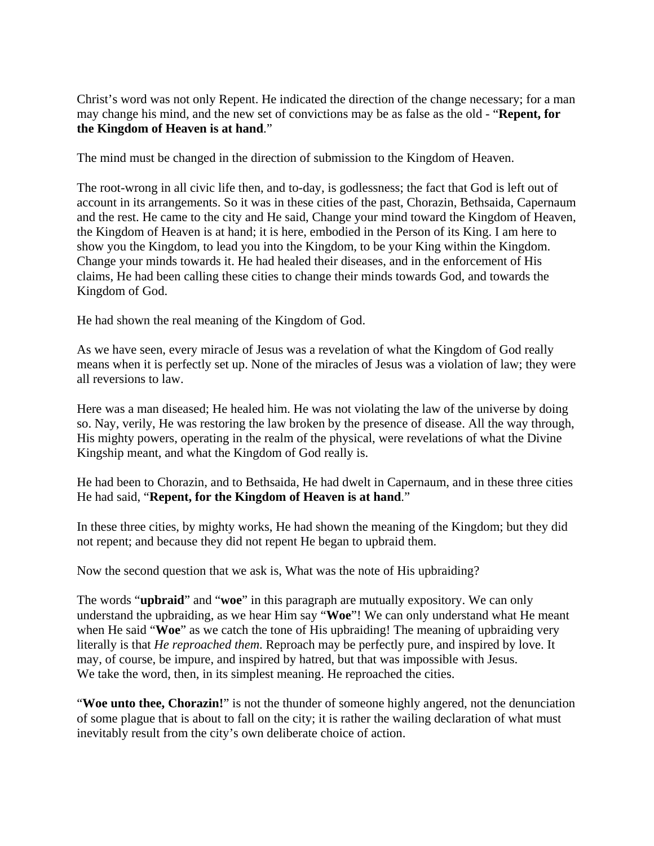Christ's word was not only Repent. He indicated the direction of the change necessary; for a man may change his mind, and the new set of convictions may be as false as the old - "**Repent, for the Kingdom of Heaven is at hand**."

The mind must be changed in the direction of submission to the Kingdom of Heaven.

The root-wrong in all civic life then, and to-day, is godlessness; the fact that God is left out of account in its arrangements. So it was in these cities of the past, Chorazin, Bethsaida, Capernaum and the rest. He came to the city and He said, Change your mind toward the Kingdom of Heaven, the Kingdom of Heaven is at hand; it is here, embodied in the Person of its King. I am here to show you the Kingdom, to lead you into the Kingdom, to be your King within the Kingdom. Change your minds towards it. He had healed their diseases, and in the enforcement of His claims, He had been calling these cities to change their minds towards God, and towards the Kingdom of God.

He had shown the real meaning of the Kingdom of God.

As we have seen, every miracle of Jesus was a revelation of what the Kingdom of God really means when it is perfectly set up. None of the miracles of Jesus was a violation of law; they were all reversions to law.

Here was a man diseased; He healed him. He was not violating the law of the universe by doing so. Nay, verily, He was restoring the law broken by the presence of disease. All the way through, His mighty powers, operating in the realm of the physical, were revelations of what the Divine Kingship meant, and what the Kingdom of God really is.

He had been to Chorazin, and to Bethsaida, He had dwelt in Capernaum, and in these three cities He had said, "**Repent, for the Kingdom of Heaven is at hand**."

In these three cities, by mighty works, He had shown the meaning of the Kingdom; but they did not repent; and because they did not repent He began to upbraid them.

Now the second question that we ask is, What was the note of His upbraiding?

The words "**upbraid**" and "**woe**" in this paragraph are mutually expository. We can only understand the upbraiding, as we hear Him say "**Woe**"! We can only understand what He meant when He said "**Woe**" as we catch the tone of His upbraiding! The meaning of upbraiding very literally is that *He reproached them*. Reproach may be perfectly pure, and inspired by love. It may, of course, be impure, and inspired by hatred, but that was impossible with Jesus. We take the word, then, in its simplest meaning. He reproached the cities.

"**Woe unto thee, Chorazin!**" is not the thunder of someone highly angered, not the denunciation of some plague that is about to fall on the city; it is rather the wailing declaration of what must inevitably result from the city's own deliberate choice of action.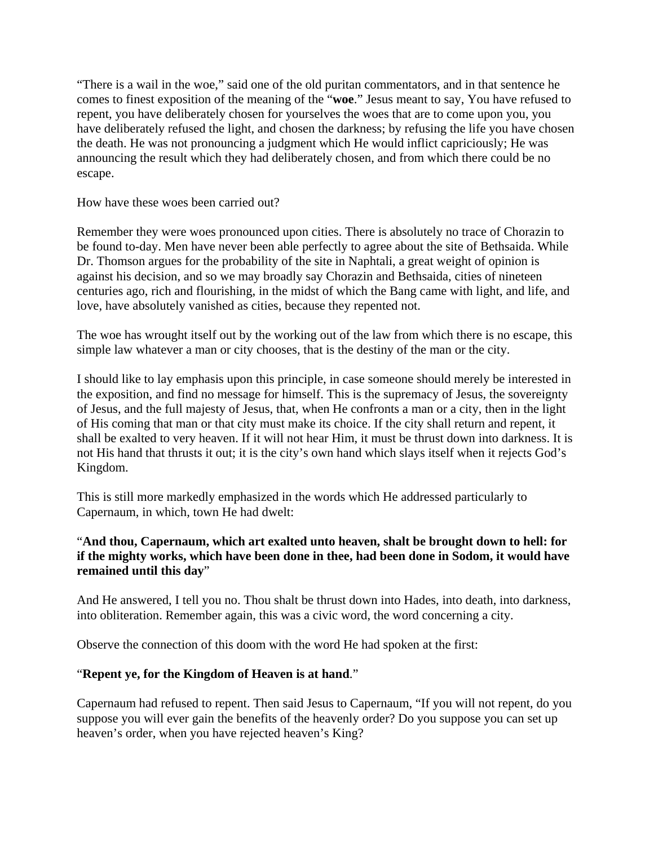"There is a wail in the woe," said one of the old puritan commentators, and in that sentence he comes to finest exposition of the meaning of the "**woe**." Jesus meant to say, You have refused to repent, you have deliberately chosen for yourselves the woes that are to come upon you, you have deliberately refused the light, and chosen the darkness; by refusing the life you have chosen the death. He was not pronouncing a judgment which He would inflict capriciously; He was announcing the result which they had deliberately chosen, and from which there could be no escape.

How have these woes been carried out?

Remember they were woes pronounced upon cities. There is absolutely no trace of Chorazin to be found to-day. Men have never been able perfectly to agree about the site of Bethsaida. While Dr. Thomson argues for the probability of the site in Naphtali, a great weight of opinion is against his decision, and so we may broadly say Chorazin and Bethsaida, cities of nineteen centuries ago, rich and flourishing, in the midst of which the Bang came with light, and life, and love, have absolutely vanished as cities, because they repented not.

The woe has wrought itself out by the working out of the law from which there is no escape, this simple law whatever a man or city chooses, that is the destiny of the man or the city.

I should like to lay emphasis upon this principle, in case someone should merely be interested in the exposition, and find no message for himself. This is the supremacy of Jesus, the sovereignty of Jesus, and the full majesty of Jesus, that, when He confronts a man or a city, then in the light of His coming that man or that city must make its choice. If the city shall return and repent, it shall be exalted to very heaven. If it will not hear Him, it must be thrust down into darkness. It is not His hand that thrusts it out; it is the city's own hand which slays itself when it rejects God's Kingdom.

This is still more markedly emphasized in the words which He addressed particularly to Capernaum, in which, town He had dwelt:

## "**And thou, Capernaum, which art exalted unto heaven, shalt be brought down to hell: for if the mighty works, which have been done in thee, had been done in Sodom, it would have remained until this day**"

And He answered, I tell you no. Thou shalt be thrust down into Hades, into death, into darkness, into obliteration. Remember again, this was a civic word, the word concerning a city.

Observe the connection of this doom with the word He had spoken at the first:

### "**Repent ye, for the Kingdom of Heaven is at hand**."

Capernaum had refused to repent. Then said Jesus to Capernaum, "If you will not repent, do you suppose you will ever gain the benefits of the heavenly order? Do you suppose you can set up heaven's order, when you have rejected heaven's King?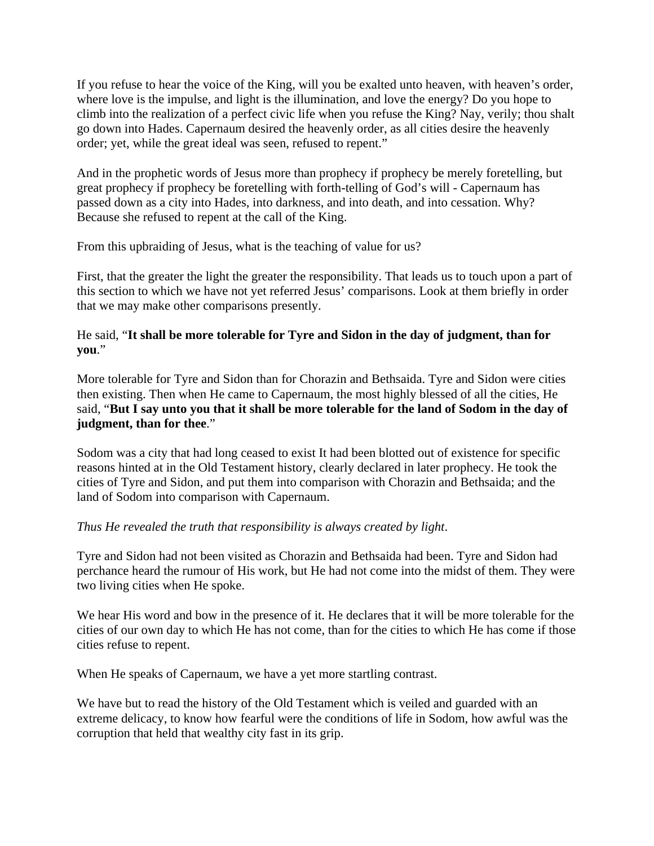If you refuse to hear the voice of the King, will you be exalted unto heaven, with heaven's order, where love is the impulse, and light is the illumination, and love the energy? Do you hope to climb into the realization of a perfect civic life when you refuse the King? Nay, verily; thou shalt go down into Hades. Capernaum desired the heavenly order, as all cities desire the heavenly order; yet, while the great ideal was seen, refused to repent."

And in the prophetic words of Jesus more than prophecy if prophecy be merely foretelling, but great prophecy if prophecy be foretelling with forth-telling of God's will - Capernaum has passed down as a city into Hades, into darkness, and into death, and into cessation. Why? Because she refused to repent at the call of the King.

From this upbraiding of Jesus, what is the teaching of value for us?

First, that the greater the light the greater the responsibility. That leads us to touch upon a part of this section to which we have not yet referred Jesus' comparisons. Look at them briefly in order that we may make other comparisons presently.

## He said, "**It shall be more tolerable for Tyre and Sidon in the day of judgment, than for you**."

More tolerable for Tyre and Sidon than for Chorazin and Bethsaida. Tyre and Sidon were cities then existing. Then when He came to Capernaum, the most highly blessed of all the cities, He said, "**But I say unto you that it shall be more tolerable for the land of Sodom in the day of judgment, than for thee**."

Sodom was a city that had long ceased to exist It had been blotted out of existence for specific reasons hinted at in the Old Testament history, clearly declared in later prophecy. He took the cities of Tyre and Sidon, and put them into comparison with Chorazin and Bethsaida; and the land of Sodom into comparison with Capernaum.

## *Thus He revealed the truth that responsibility is always created by light*.

Tyre and Sidon had not been visited as Chorazin and Bethsaida had been. Tyre and Sidon had perchance heard the rumour of His work, but He had not come into the midst of them. They were two living cities when He spoke.

We hear His word and bow in the presence of it. He declares that it will be more tolerable for the cities of our own day to which He has not come, than for the cities to which He has come if those cities refuse to repent.

When He speaks of Capernaum, we have a yet more startling contrast.

We have but to read the history of the Old Testament which is veiled and guarded with an extreme delicacy, to know how fearful were the conditions of life in Sodom, how awful was the corruption that held that wealthy city fast in its grip.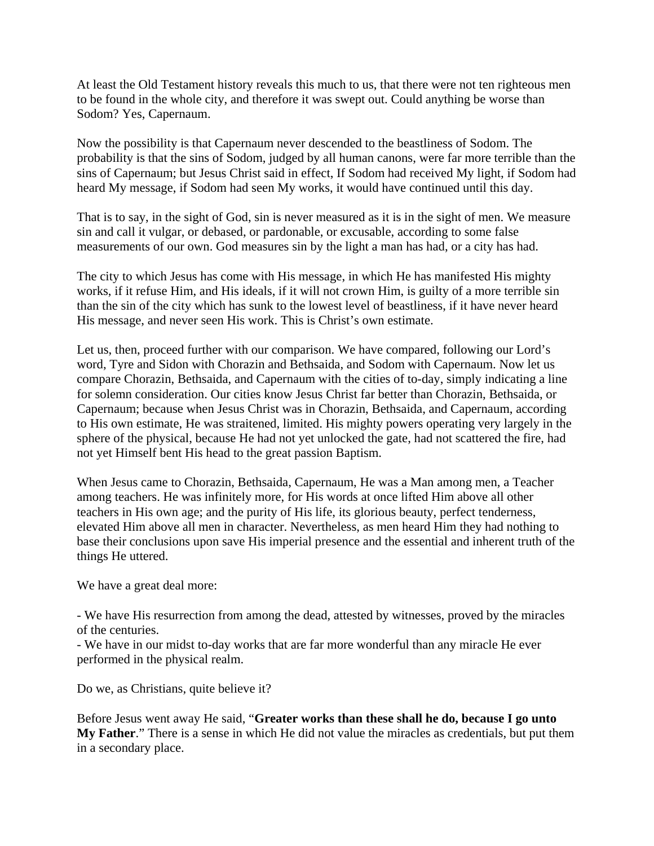At least the Old Testament history reveals this much to us, that there were not ten righteous men to be found in the whole city, and therefore it was swept out. Could anything be worse than Sodom? Yes, Capernaum.

Now the possibility is that Capernaum never descended to the beastliness of Sodom. The probability is that the sins of Sodom, judged by all human canons, were far more terrible than the sins of Capernaum; but Jesus Christ said in effect, If Sodom had received My light, if Sodom had heard My message, if Sodom had seen My works, it would have continued until this day.

That is to say, in the sight of God, sin is never measured as it is in the sight of men. We measure sin and call it vulgar, or debased, or pardonable, or excusable, according to some false measurements of our own. God measures sin by the light a man has had, or a city has had.

The city to which Jesus has come with His message, in which He has manifested His mighty works, if it refuse Him, and His ideals, if it will not crown Him, is guilty of a more terrible sin than the sin of the city which has sunk to the lowest level of beastliness, if it have never heard His message, and never seen His work. This is Christ's own estimate.

Let us, then, proceed further with our comparison. We have compared, following our Lord's word, Tyre and Sidon with Chorazin and Bethsaida, and Sodom with Capernaum. Now let us compare Chorazin, Bethsaida, and Capernaum with the cities of to-day, simply indicating a line for solemn consideration. Our cities know Jesus Christ far better than Chorazin, Bethsaida, or Capernaum; because when Jesus Christ was in Chorazin, Bethsaida, and Capernaum, according to His own estimate, He was straitened, limited. His mighty powers operating very largely in the sphere of the physical, because He had not yet unlocked the gate, had not scattered the fire, had not yet Himself bent His head to the great passion Baptism.

When Jesus came to Chorazin, Bethsaida, Capernaum, He was a Man among men, a Teacher among teachers. He was infinitely more, for His words at once lifted Him above all other teachers in His own age; and the purity of His life, its glorious beauty, perfect tenderness, elevated Him above all men in character. Nevertheless, as men heard Him they had nothing to base their conclusions upon save His imperial presence and the essential and inherent truth of the things He uttered.

We have a great deal more:

- We have His resurrection from among the dead, attested by witnesses, proved by the miracles of the centuries.

- We have in our midst to-day works that are far more wonderful than any miracle He ever performed in the physical realm.

Do we, as Christians, quite believe it?

Before Jesus went away He said, "**Greater works than these shall he do, because I go unto My Father**." There is a sense in which He did not value the miracles as credentials, but put them in a secondary place.